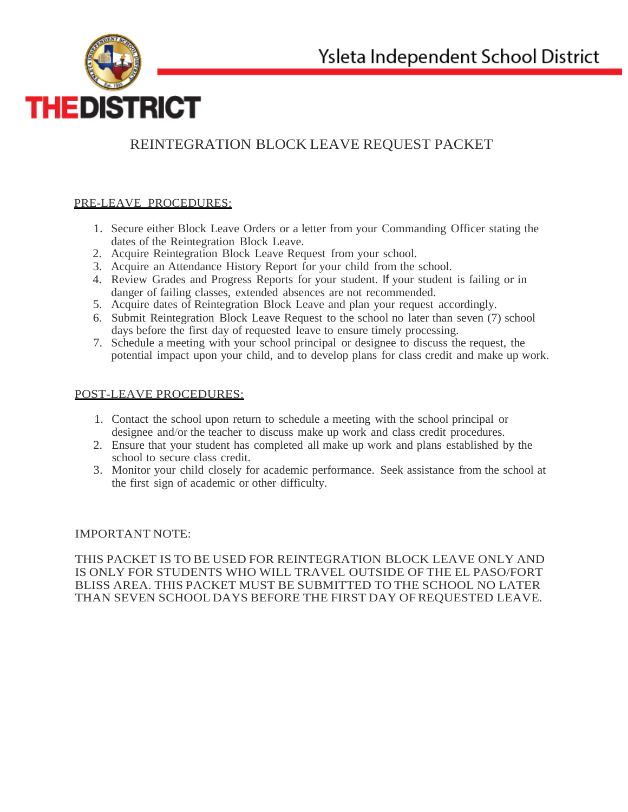

# REINTEGRATION BLOCK LEAVE REQUEST PACKET

## PRE-LEAVE PROCEDURES:

- 1. Secure either Block Leave Orders or a letter from your Commanding Officer stating the dates of the Reintegration Block Leave.
- 2. Acquire Reintegration Block Leave Request from your school.
- 3. Acquire an Attendance History Report for your child from the school.
- 4. Review Grades and Progress Reports for your student. If your student is failing or in danger of failing classes, extended absences are not recommended.
- 5. Acquire dates of Reintegration Block Leave and plan your request accordingly.
- 6. Submit Reintegration Block Leave Request to the school no later than seven (7) school days before the first day of requested leave to ensure timely processing.
- 7. Schedule a meeting with your school principal or designee to discuss the request, the potential impact upon your child, and to develop plans for class credit and make up work.

## POST-LEAVE PROCEDURES:

- 1. Contact the school upon return to schedule a meeting with the school principal or designee and/or the teacher to discuss make up work and class credit procedures.
- 2. Ensure that your student has completed all make up work and plans established by the school to secure class credit.
- 3. Monitor your child closely for academic performance. Seek assistance from the school at the first sign of academic or other difficulty.

## IMPORTANT NOTE:

THIS PACKET IS TO BE USED FOR REINTEGRATION BLOCK LEAVE ONLY AND IS ONLY FOR STUDENTS WHO WILL TRAVEL OUTSIDE OF THE EL PASO/FORT BLISS AREA. THIS PACKET MUST BE SUBMITTED TO THE SCHOOL NO LATER THAN SEVEN SCHOOL DAYS BEFORE THE FIRST DAY OF REQUESTED LEAVE.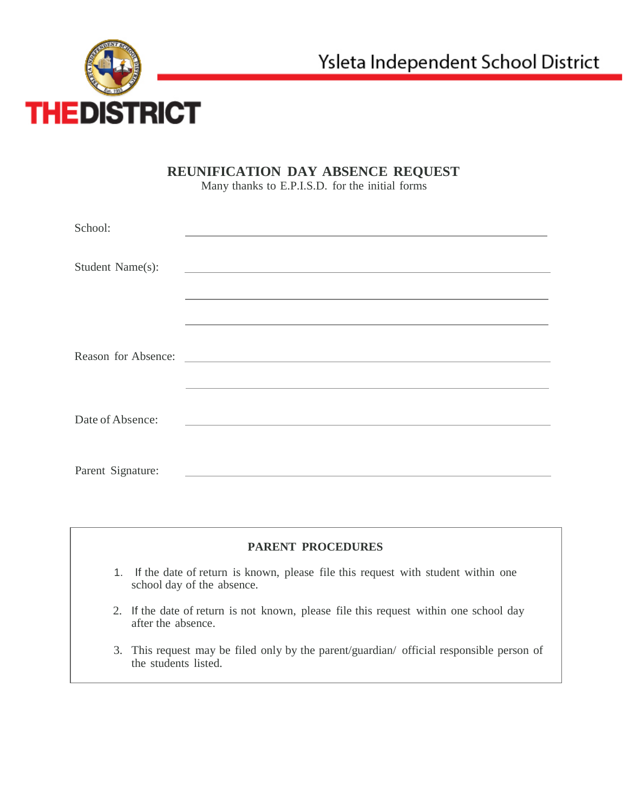

## **REUNIFICATION DAY ABSENCE REQUEST**

Many thanks to E.P.I.S.D. for the initial forms

| School:           |                                                             |
|-------------------|-------------------------------------------------------------|
| Student Name(s):  | <u> 1989 - Andrea Stadt Britain, amerikansk politiker (</u> |
|                   |                                                             |
|                   |                                                             |
|                   |                                                             |
|                   |                                                             |
| Date of Absence:  |                                                             |
|                   |                                                             |
| Parent Signature: |                                                             |

## **PARENT PROCEDURES**

- 1. If the date of return is known, please file this request with student within one school day of the absence.
- 2. If the date of return is not known, please file this request within one school day after the absence.
- 3. This request may be filed only by the parent/guardian/ official responsible person of the students listed.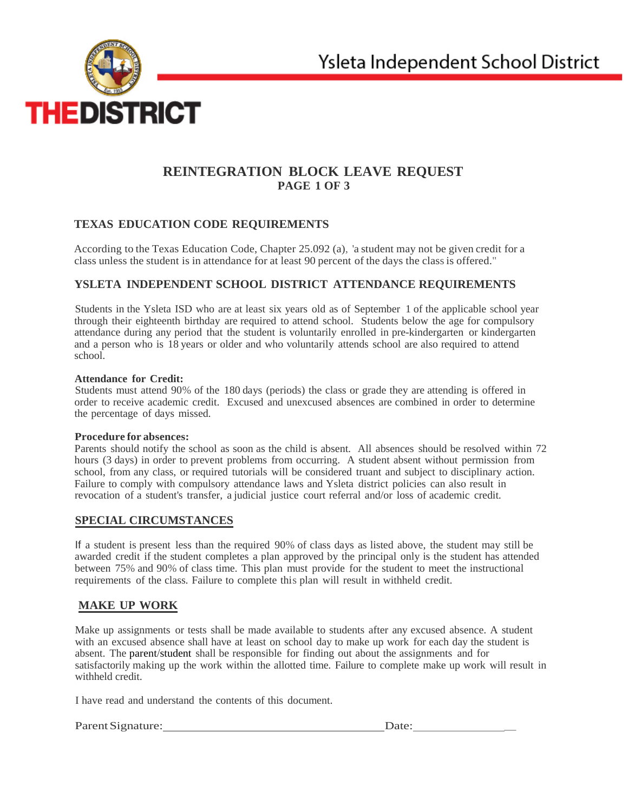

## **REINTEGRATION BLOCK LEAVE REQUEST PAGE 1 OF 3**

## **TEXAS EDUCATION CODE REQUIREMENTS**

According to the Texas Education Code, Chapter 25.092 (a), 'a student may not be given credit for a class unless the student is in attendance for at least 90 percent of the days the class is offered."

## **YSLETA INDEPENDENT SCHOOL DISTRICT ATTENDANCE REQUIREMENTS**

Students in the Ysleta ISD who are at least six years old as of September 1 of the applicable school year through their eighteenth birthday are required to attend school. Students below the age for compulsory attendance during any period that the student is voluntarily enrolled in pre-kindergarten or kindergarten and a person who is 18 years or older and who voluntarily attends school are also required to attend school.

#### **Attendance for Credit:**

Students must attend 90% of the 180 days (periods) the class or grade they are attending is offered in order to receive academic credit. Excused and unexcused absences are combined in order to determine the percentage of days missed.

#### **Procedure for absences:**

Parents should notify the school as soon as the child is absent. All absences should be resolved within 72 hours (3 days) in order to prevent problems from occurring. A student absent without permission from school, from any class, or required tutorials will be considered truant and subject to disciplinary action. Failure to comply with compulsory attendance laws and Ysleta district policies can also result in revocation of a student's transfer, a judicial justice court referral and/or loss of academic credit.

#### **SPECIAL CIRCUMSTANCES**

If a student is present less than the required 90% of class days as listed above, the student may still be awarded credit if the student completes a plan approved by the principal only is the student has attended between 75% and 90% of class time. This plan must provide for the student to meet the instructional requirements of the class. Failure to complete this plan will result in withheld credit.

## **MAKE UP WORK**

Make up assignments or tests shall be made available to students after any excused absence. A student with an excused absence shall have at least on school day to make up work for each day the student is absent. The parent/student shall be responsible for finding out about the assignments and for satisfactorily making up the work within the allotted time. Failure to complete make up work will result in withheld credit.

I have read and understand the contents of this document.

#### ParentSignature: Date: \_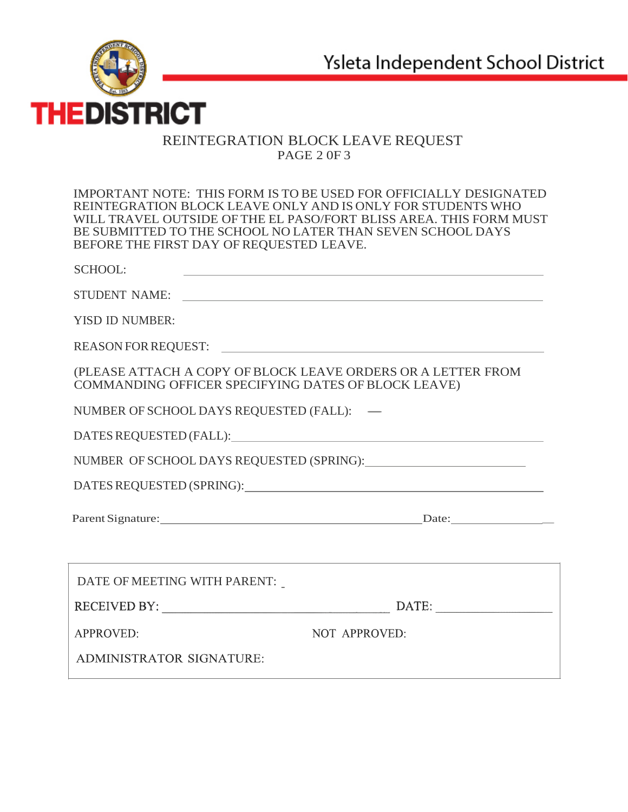

## REINTEGRATION BLOCK LEAVE REQUEST PAGE 2 0F 3

IMPORTANT NOTE: THIS FORM IS TO BE USED FOR OFFICIALLY DESIGNATED REINTEGRATION BLOCK LEAVE ONLY AND IS ONLY FOR STUDENTS WHO WILL TRAVEL OUTSIDE OF THE EL PASO/FORT BLISS AREA. THIS FORM MUST BE SUBMITTED TO THE SCHOOL NO LATER THAN SEVEN SCHOOL DAYS BEFORE THE FIRST DAY OF REQUESTED LEAVE.

| <b>SCHOOL:</b>                                                                                                      |                                                                                                                                                                                                                                                                                                                                                                                                                                                                                                                                    |  |
|---------------------------------------------------------------------------------------------------------------------|------------------------------------------------------------------------------------------------------------------------------------------------------------------------------------------------------------------------------------------------------------------------------------------------------------------------------------------------------------------------------------------------------------------------------------------------------------------------------------------------------------------------------------|--|
| STUDENT NAME:                                                                                                       |                                                                                                                                                                                                                                                                                                                                                                                                                                                                                                                                    |  |
| <b>YISD ID NUMBER:</b>                                                                                              |                                                                                                                                                                                                                                                                                                                                                                                                                                                                                                                                    |  |
| REASON FOR REQUEST:                                                                                                 |                                                                                                                                                                                                                                                                                                                                                                                                                                                                                                                                    |  |
| (PLEASE ATTACH A COPY OF BLOCK LEAVE ORDERS OR A LETTER FROM<br>COMMANDING OFFICER SPECIFYING DATES OF BLOCK LEAVE) |                                                                                                                                                                                                                                                                                                                                                                                                                                                                                                                                    |  |
| NUMBER OF SCHOOL DAYS REQUESTED (FALL): -                                                                           |                                                                                                                                                                                                                                                                                                                                                                                                                                                                                                                                    |  |
|                                                                                                                     |                                                                                                                                                                                                                                                                                                                                                                                                                                                                                                                                    |  |
|                                                                                                                     |                                                                                                                                                                                                                                                                                                                                                                                                                                                                                                                                    |  |
|                                                                                                                     |                                                                                                                                                                                                                                                                                                                                                                                                                                                                                                                                    |  |
|                                                                                                                     | Parent Signature: Date: Date:                                                                                                                                                                                                                                                                                                                                                                                                                                                                                                      |  |
|                                                                                                                     |                                                                                                                                                                                                                                                                                                                                                                                                                                                                                                                                    |  |
| DATE OF MEETING WITH PARENT:                                                                                        |                                                                                                                                                                                                                                                                                                                                                                                                                                                                                                                                    |  |
|                                                                                                                     | $\textbf{DATE:}\underline{\hspace{1.5cm}}\xrightarrow{\hspace{1.5cm}}\xrightarrow{\hspace{1.5cm}}\xrightarrow{\hspace{1.5cm}}\xrightarrow{\hspace{1.5cm}}\xrightarrow{\hspace{1.5cm}}\xrightarrow{\hspace{1.5cm}}\xrightarrow{\hspace{1.5cm}}\xrightarrow{\hspace{1.5cm}}\xrightarrow{\hspace{1.5cm}}\xrightarrow{\hspace{1.5cm}}\xrightarrow{\hspace{1.5cm}}\xrightarrow{\hspace{1.5cm}}\xrightarrow{\hspace{1.5cm}}\xrightarrow{\hspace{1.5cm}}\xrightarrow{\hspace{1.5cm}}\xrightarrow{\hspace{1.5cm}}\xrightarrow{\hspace{1.5$ |  |
| <b>APPROVED:</b>                                                                                                    | <b>NOT APPROVED:</b>                                                                                                                                                                                                                                                                                                                                                                                                                                                                                                               |  |
| ADMINISTRATOR SIGNATURE:                                                                                            |                                                                                                                                                                                                                                                                                                                                                                                                                                                                                                                                    |  |